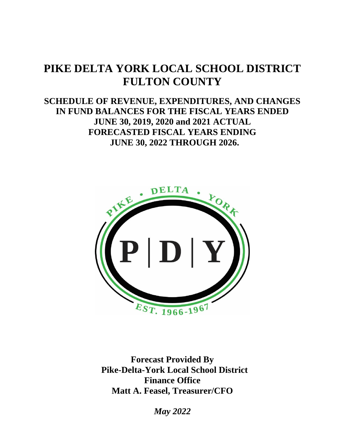# **PIKE DELTA YORK LOCAL SCHOOL DISTRICT FULTON COUNTY**

### **SCHEDULE OF REVENUE, EXPENDITURES, AND CHANGES IN FUND BALANCES FOR THE FISCAL YEARS ENDED JUNE 30, 2019, 2020 and 2021 ACTUAL FORECASTED FISCAL YEARS ENDING JUNE 30, 2022 THROUGH 2026.**



**Forecast Provided By Pike-Delta-York Local School District Finance Office Matt A. Feasel, Treasurer/CFO**

*May 2022*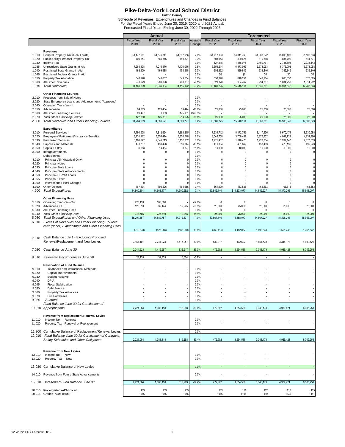**Pike-Delta-York Local School District**<br>Futton County<br>Schedule of Revenues, Expenditures and Changes in Fund Balances<br>For the Fiscal Years Ended June 30, 2019, 2020 and 2021 Actual;<br>Forecasted Fiscal Years Ending June 30,

|                |                                                               |                       | <b>Actual</b>         |                         |                    |                          |                          | <b>Forecasted</b>        |                         |                          |
|----------------|---------------------------------------------------------------|-----------------------|-----------------------|-------------------------|--------------------|--------------------------|--------------------------|--------------------------|-------------------------|--------------------------|
|                |                                                               | <b>Fiscal Year</b>    | <b>Fiscal Year</b>    | <b>Fiscal Year</b>      | Average            | <b>Fiscal Year</b>       | <b>Fiscal Year</b>       | <b>Fiscal Year</b>       | <b>Fiscal Year</b>      | <b>Fiscal Year</b>       |
|                |                                                               | 2019                  | 2020                  | 2021                    | Change             | 2022                     | 2023                     | 2024                     | 2025                    | 2026                     |
|                | Revenues                                                      |                       |                       |                         |                    |                          |                          |                          |                         |                          |
| 1.010          | General Property Tax (Real Estate)                            | \$4,477,061           | \$4,576,841           | \$4,697,956             | 2.4%               | \$4,717,193              | \$4,811,763              | \$4,908,222              | \$5,006,403             | \$5,106,533              |
| 1.020<br>1.030 | Public Utility Personal Property Tax<br>Income Tax            | 706,854               | 665,846               | 748,821                 | 3.3%<br>0.0%       | 803,653<br>127,315       | 809,624<br>1,556,075     | 819,668<br>2,450,761     | 831,790<br>2,745,603    | 844,371<br>2,935,143     |
| 1.035          | Unrestricted State Grants-in-Aid                              | 7,286,108             | 7,016,976             | 7,170,016               | $-0.8%$            | 6,359,214                | 6,373,093                | 6,373,093                | 6,373,093               | 6,373,093                |
| 1.040          | Restricted State Grants-in-Aid                                | 168,909               | 169,688               | 150,818                 | $-5.3%$            | 386,832                  | 339,846                  | 339,846                  | 339,846                 | 339,846                  |
| 1.045          | Restricted Federal Grants In Aid                              |                       |                       |                         | 0.0%               | \$0                      | \$0                      | \$0                      | \$0                     | \$0                      |
| 1.050          | Property Tax Allocation                                       | 548,948               | 543,687               | 549,254                 | 0.0%               | 558,348                  | 640,251                  | 649,964                  | 660,557                 | 670,565                  |
| 1.060<br>1.070 | All Other Revenues<br><b>Total Revenues</b>                   | 973,929<br>14,161,809 | 963,096<br>13,936,134 | 798,307<br>14, 115, 172 | $-9.1%$<br>$-0.2%$ | 529,170<br>13,481,725    | 984,462<br>15,515,114    | 994,307<br>16,535,861    | 1,004,250<br>16,961,542 | 1,014,292<br>17,283,843  |
|                |                                                               |                       |                       |                         |                    |                          |                          |                          |                         |                          |
|                | <b>Other Financing Sources</b>                                |                       |                       |                         |                    |                          |                          |                          |                         |                          |
| 2.010          | Proceeds from Sale of Notes                                   |                       |                       |                         | 0.0%               |                          |                          |                          |                         |                          |
| 2.020          | State Emergency Loans and Advancements (Approved)             |                       |                       |                         | 0.0%               |                          |                          |                          |                         |                          |
| 2.040<br>2.050 | <b>Operating Transfers-In</b><br>Advances-In                  | 94,383                | 123,404               | 39,444                  | 0.0%<br>$-18.6%$   | 25,000                   | 25,000                   | 25,000                   | 25,000                  | 25,000                   |
| 2.060          | All Other Financing Sources                                   | 28,497                | 1,983                 | 175,181                 | 4320.5%            |                          |                          |                          |                         |                          |
| 2.070          | <b>Total Other Financing Sources</b>                          | 122,880               | 125,387               | 214,625                 | 36.6%              | 25,000                   | 25,000                   | 25,000                   | 25,000                  | 25,000                   |
| 2.080          | <b>Total Revenues and Other Financing Sources</b>             | 14,284,689            | 14,061,521            | 14,329,797              | 0.2%               | 13,506,725               | 15,540,114               | 16,560,861               | 16,986,542              | 17,308,843               |
|                |                                                               |                       |                       |                         |                    |                          |                          |                          |                         |                          |
| 3.010          | <b>Expenditures</b><br><b>Personal Services</b>               | 7,794,608             | 7,812,664             | 7,868,215               | 0.5%               | 7,934,712                | 8,172,753                | 8,417,936                | 8,670,474               | 8,930,588                |
| 3.020          | Employees' Retirement/Insurance Benefits                      | 3,231,912             | 3,355,414             | 3,358,548               | 2.0%               | 3,548,758                | 3,708,452                | 3,875,332                | 4,049,722               | 4,231,960                |
| 3.030          | <b>Purchased Services</b>                                     | 3,186,247             | 2,846,213             | 3,152,302               | 0.0%               | 1,775,457                | 1,846,475                | 1,920,334                | 1,997,147               | 2,077,033                |
| 3.040          | Supplies and Materials                                        | 473,737               | 439,496               | 356,044                 | $-13.1%$           | 411,304                  | 431,869                  | 453,463                  | 476,136                 | 499,943                  |
| 3.050          | Capital Outlay                                                | 6,663<br>0            | 14,464<br>$\mathbf 0$ | 3,827<br>$\Omega$       | 21.8%              | 10,000<br>$\theta$       | 10,000<br>$\mathbf 0$    | 10,000<br>$\theta$       | 10,000<br>$\mathbf 0$   | 10,000<br>$\theta$       |
| 3.060          | Intergovernmental<br>Debt Service:                            |                       |                       |                         | 0.0%<br>0.0%       |                          |                          |                          |                         |                          |
| 4.010          | Principal-All (Historical Only)                               | $\Omega$              | 0                     | 0                       | 0.0%               | 0                        | 0                        | $\mathbf{0}$             | $\Omega$                |                          |
| 4.020          | Principal-Notes                                               | $\mathsf{r}$          | $\Omega$              | 0                       | 0.0%               | $\theta$                 | $\mathbf 0$              | $\theta$                 | $\Omega$                |                          |
| 4.030          | Principal-State Loans                                         | $\Omega$              | $\mathbf{0}$          | 0                       | 0.0%               | $\theta$                 | $\mathbf 0$              | $\theta$                 | $\Omega$                |                          |
| 4.040          | Principal-State Advancements                                  | $\Omega$              | 0                     | $\Omega$                | 0.0%               | $\theta$<br>$\theta$     | $\Omega$<br>$\Omega$     | $\theta$                 | $\Omega$                |                          |
| 4.050<br>4.055 | Principal-HB 264 Loans<br>Principal-Other                     | $\Omega$<br>$\Omega$  | 0<br>$\Omega$         | ſ<br>n                  | 0.0%<br>0.0%       | $\Omega$                 | $\Omega$                 | $\mathbf{0}$<br>$\Omega$ | $\Omega$<br>$\Omega$    | $\Omega$                 |
| 4.060          | Interest and Fiscal Charges                                   | $\Omega$              | $\Omega$              |                         | 0.0%               | $\theta$                 | $\Omega$                 | $\theta$                 | $\theta$                |                          |
| 4.300          | Other Objects                                                 | 167,634               | 195,226               | 161,656                 | $-0.4%$            | 161,909                  | 163,528                  | 165,163                  | 166,815                 | 168,483                  |
| 4.500          | <b>Total Expenditures</b>                                     | 14,860,801            | 14,663,477            | 14,900,592              | 0.1%               | 13,842,140               | \$14,333,077             | 14,842,227               | 15,370,293              | 15,918,007               |
|                |                                                               |                       |                       |                         |                    |                          |                          |                          |                         |                          |
| 5.010          | <b>Other Financing Uses</b><br><b>Operating Transfers-Out</b> | 220,453               | 186,866               |                         | $-57.6%$           | 0                        | 0                        | $\mathbf{0}$             | 0                       | $\theta$                 |
| 5.020          | Advances-Out                                                  | 123,313               | 39,444                | 12,245                  | $-68.5%$           | 25,000                   | 25,000                   | 25,000                   | 25,000                  | 25,000                   |
| 5.030          | All Other Financing Uses                                      |                       |                       |                         | 0.0%               | $\mathbf{0}$             | $\mathbf 0$              | $\theta$                 | $\theta$                | $\mathbf 0$              |
| 5.040          | <b>Total Other Financing Uses</b>                             | 343,766               | 226,310               | 12,245                  | $-64.4%$           | 25,000                   | 25,000                   | 25,000                   | 25,000                  | 25,000                   |
| 5.050          | <b>Total Expenditures and Other Financing Uses</b>            | 15,204,567            | 14,889,787            | 14,912,837              | $-1.0%$            | 13,867,140               | 14,358,077               | 14,867,227               | 15,395,293              | 15,943,007               |
| 6.010          | Excess of Revenues and Other Financing Sources                |                       |                       |                         |                    |                          |                          |                          |                         |                          |
|                | over (under) Expenditures and Other Financing Uses            | (919, 878)            | (828, 266)            | (583,040)               | $-19.8%$           | (360, 415)               | 1,182,037                | 1,693,633                | 1,591,248               | 1,365,837                |
|                |                                                               |                       |                       |                         |                    |                          |                          |                          |                         |                          |
| 7.010          | Cash Balance July 1 - Excluding Proposed                      |                       |                       |                         |                    |                          |                          |                          |                         |                          |
|                | Renewal/Replacement and New Levies                            | 3,164,101             | 2,244,223             | 1,415,957               | $-33.0%$           | 832,917                  | 472,502                  | 1,654,539                | 3,348,173               | 4,939,421                |
| 7.020          | Cash Balance June 30                                          |                       |                       |                         |                    |                          |                          |                          |                         |                          |
|                |                                                               | 2,244,223             | 1,415,957             | 832,917                 | $-39.0%$           | 472,502                  | 1,654,539                | 3,348,173                | 4,939,421               | 6,305,258                |
| 8.010          | <b>Estimated Encumbrances June 30</b>                         | 23,139                | 32,839                | 16,624                  | $-3.7%$            | $\overline{a}$           | $\overline{\phantom{a}}$ | $\overline{a}$           |                         |                          |
|                |                                                               |                       |                       |                         |                    |                          |                          |                          |                         |                          |
|                | <b>Reservation of Fund Balance</b>                            |                       |                       |                         |                    |                          |                          |                          |                         |                          |
| 9.010          | Textbooks and Instructional Materials                         |                       |                       |                         | 0.0%<br>0.0%       |                          |                          |                          |                         |                          |
| 9.020<br>9.030 | Capital Improvements<br><b>Budget Reserve</b>                 |                       |                       |                         | 0.0%               |                          |                          |                          |                         |                          |
| 9.040          | <b>DPIA</b>                                                   |                       |                       |                         | 0.0%               |                          |                          |                          |                         |                          |
| 9.045          | <b>Fiscal Stabilization</b>                                   |                       |                       |                         | 0.0%               |                          |                          |                          |                         |                          |
| 9.050          | Debt Service                                                  |                       |                       |                         | 0.0%               |                          |                          |                          |                         |                          |
| 9.060          | Property Tax Advances                                         |                       |                       |                         | 0.0%               |                          |                          |                          |                         |                          |
| 9.070<br>9.080 | <b>Bus Purchases</b><br>Subtotal                              |                       |                       |                         | 0.0%<br>0.0%       |                          |                          |                          |                         |                          |
|                | Fund Balance June 30 for Certification of                     |                       |                       |                         |                    |                          |                          |                          |                         |                          |
|                | 10.010 Appropriations                                         | 2,221,084             | 1,383,118             | 816,293                 | $-39.4%$           | 472,502                  | 1,654,539                | 3,348,173                | 4,939,421               | 6,305,258                |
|                |                                                               |                       |                       |                         |                    |                          |                          |                          |                         |                          |
|                | Revenue from Replacement/Renewal Levies                       |                       |                       |                         |                    |                          |                          |                          |                         |                          |
| 11.010         | Income Tax - Renewal<br>Property Tax - Renewal or Replacement |                       |                       |                         | 0.0%<br>0.0%       |                          |                          |                          |                         |                          |
| 11.020         |                                                               |                       |                       |                         |                    |                          |                          |                          |                         |                          |
|                | 11.300 Cumulative Balance of Replacement/Renewal Levies       |                       |                       |                         | 0.0%               | $\overline{\phantom{a}}$ | $\overline{\phantom{a}}$ | $\overline{\phantom{a}}$ | $\sim$                  | $\overline{\phantom{a}}$ |
| 12.010         | Fund Balance June 30 for Certification of Contracts,          |                       |                       |                         |                    |                          |                          |                          |                         |                          |
|                | Salary Schedules and Other Obligations                        | 2,221,084             | 1,383,118             | 816,293                 | $-39.4%$           | 472,502                  | 1,654,539                | 3,348,173                | 4,939,421               | 6,305,258                |
|                |                                                               |                       |                       |                         |                    |                          |                          |                          |                         |                          |
|                | <b>Revenue from New Levies</b>                                |                       |                       |                         |                    |                          |                          |                          |                         |                          |
| 13.010         | Income Tax - New                                              |                       |                       |                         | 0.0%               |                          |                          |                          |                         |                          |
| 13.020         | Property Tax - New                                            |                       |                       |                         | 0.0%               |                          |                          |                          |                         |                          |
|                |                                                               |                       |                       |                         |                    |                          |                          |                          |                         |                          |
|                | 13.030 Cumulative Balance of New Levies                       | ÷                     | ÷                     |                         | 0.0%               | ÷                        | $\overline{\phantom{a}}$ | ÷                        | ÷                       | ÷                        |
| 14.010         | Revenue from Future State Advancements                        |                       |                       |                         | 0.0%               |                          |                          |                          |                         |                          |
|                |                                                               |                       |                       |                         |                    |                          |                          |                          |                         |                          |
|                | 15.010 Unreserved Fund Balance June 30                        | 2,221,084             | 1,383,118             | 816,293                 | $-39.4%$           | 472,502                  | 1,654,539                | 3,348,173                | 4,939,421               | 6,305,258                |
|                |                                                               |                       |                       |                         |                    |                          |                          |                          |                         |                          |
|                | 20.010 Kindergarten - ADM count<br>20.015 Grades -ADM count   | 109<br>1086           | 109<br>1086           | 109<br>1086             |                    | 109<br>1086              | 111<br>1108              | 112<br>1119              | 113<br>1130             | 115<br>1141              |
|                |                                                               |                       |                       |                         |                    |                          |                          |                          |                         |                          |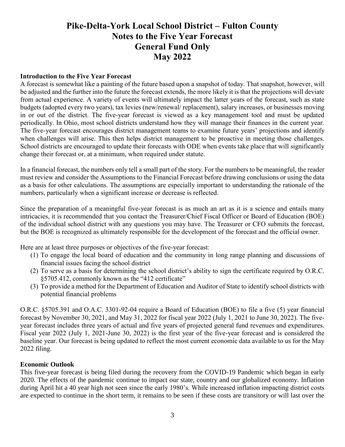### **Pike-Delta-York Local School District – Fulton County Notes to the Five Year Forecast General Fund Only May 2022**

#### **Introduction to the Five Year Forecast**

A forecast is somewhat like a painting of the future based upon a snapshot of today. That snapshot, however, will be adjusted and the further into the future the forecast extends, the more likely it is that the projections will deviate from actual experience. A variety of events will ultimately impact the latter years of the forecast, such as state budgets (adopted every two years), tax levies (new/renewal/ replacement), salary increases, or businesses moving in or out of the district. The five-year forecast is viewed as a key management tool and must be updated periodically. In Ohio, most school districts understand how they will manage their finances in the current year. The five-year forecast encourages district management teams to examine future years' projections and identify when challenges will arise. This then helps district management to be proactive in meeting those challenges. School districts are encouraged to update their forecasts with ODE when events take place that will significantly change their forecast or, at a minimum, when required under statute.

In a financial forecast, the numbers only tell a small part of the story. For the numbers to be meaningful, the reader must review and consider the Assumptions to the Financial Forecast before drawing conclusions or using the data as a basis for other calculations. The assumptions are especially important to understanding the rationale of the numbers, particularly when a significant increase or decrease is reflected.

Since the preparation of a meaningful five-year forecast is as much an art as it is a science and entails many intricacies, it is recommended that you contact the Treasurer/Chief Fiscal Officer or Board of Education (BOE) of the individual school district with any questions you may have. The Treasurer or CFO submits the forecast, but the BOE is recognized as ultimately responsible for the development of the forecast and the official owner.

Here are at least three purposes or objectives of the five-year forecast:

- (1) To engage the local board of education and the community in long range planning and discussions of financial issues facing the school district
- (2) To serve as a basis for determining the school district's ability to sign the certificate required by O.R.C. §5705.412, commonly known as the "412 certificate"
- (3) To provide a method for the Department of Education and Auditor of State to identify school districts with potential financial problems

O.R.C. §5705.391 and O.A.C. 3301-92-04 require a Board of Education (BOE) to file a five (5) year financial forecast by November 30, 2021, and May 31, 2022 for fiscal year 2022 (July 1, 2021 to June 30, 2022). The fiveyear forecast includes three years of actual and five years of projected general fund revenues and expenditures. Fiscal year 2022 (July 1, 2021-June 30, 2022) is the first year of the five-year forecast and is considered the baseline year. Our forecast is being updated to reflect the most current economic data available to us for the May 2022 filing.

#### **Economic Outlook**

This five-year forecast is being filed during the recovery from the COVID-19 Pandemic which began in early 2020. The effects of the pandemic continue to impact our state, country and our globalized economy. Inflation during April hit a 40 year high not seen since the early 1980's. While increased inflation impacting district costs are expected to continue in the short term, it remains to be seen if these costs are transitory or will last over the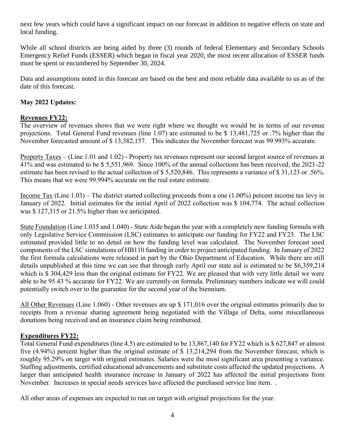next few years which could have a significant impact on our forecast in addition to negative effects on state and local funding.

While all school districts are being aided by three (3) rounds of federal Elementary and Secondary Schools Emergency Relief Funds (ESSER) which began in fiscal year 2020, the most recent allocation of ESSER funds must be spent or encumbered by September 30, 2024.

Data and assumptions noted in this forecast are based on the best and most reliable data available to us as of the date of this forecast.

#### **May 2022 Updates:**

#### **Revenues FY22:**

The overview of revenues shows that we were right where we thought we would be in terms of our revenue projections. Total General Fund revenues (line 1.07) are estimated to be \$ 13,481,725 or .7% higher than the November forecasted amount of \$ 13,382,157. This indicates the November forecast was 99.993% accurate.

Property Taxes – (Line 1.01 and 1.02) - Property tax revenues represent our second largest source of revenues at 41% and was estimated to be \$ 5,551,969. Since 100% of the annual collections has been received, the 2021-22 estimate has been revised to the actual collection of \$ 5,520,846. This represents a variance of \$ 31,123 or .56%. This means that we were 99.994% accurate on the real estate estimate.

Income Tax (Line 1.03) – The district started collecting proceeds from a one (1.00%) percent income tax levy in January of 2022. Initial estimates for the initial April of 2022 collection was \$ 104,774. The actual collection was \$ 127,315 or 21.5% higher than we anticipated.

State Foundation (Line 1.035 and 1.040) - State Aide began the year with a completely new funding formula with only Legislative Service Commission (LSC) estimates to anticipate our funding for FY22 and FY23. The LSC estimated provided little to no detail on how the funding level was calculated. The November forecast used components of the LSC simulations of HB110 funding in order to project anticipated funding. In January of 2022 the first formula calculations were released in part by the Ohio Department of Education. While there are still details unpublished at this time we can see that through early April our state aid is estimated to be \$6,359,214 which is \$304,429 less than the original estimate for FY22. We are pleased that with very little detail we were able to be 95.43 % accurate for FY22. We are currently on formula. Preliminary numbers indicate we will could potentially switch over to the guarantee for the second year of the biennium.

All Other Revenues (Line 1.060) - Other revenues are up \$ 171,016 over the original estimates primarily due to receipts from a revenue sharing agreement being negotiated with the Village of Delta, some miscellaneous donations being received and an insurance claim being reimbursed.

#### **Expenditures FY22:**

Total General Fund expenditures (line 4.5) are estimated to be 13,867,140 for FY22 which is \$ 627,847 or almost five (4.94%) percent higher than the original estimate of \$ 13,214,294 from the November forecast, which is roughly 95.29% on target with original estimates. Salaries were the most significant area presenting a variance. Staffing adjustments, certified educational advancements and substitute costs affected the updated projections. A larger than anticipated health insurance increase in January of 2022 has affected the initial projections from November. Increases in special needs services have affected the purchased service line item. .

All other areas of expenses are expected to run on target with original projections for the year.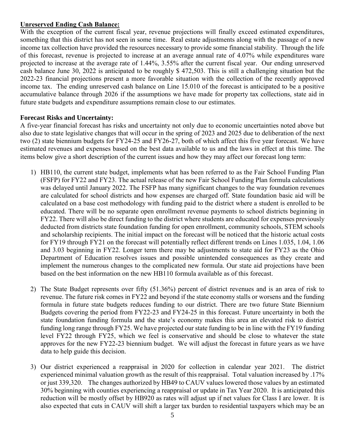#### **Unreserved Ending Cash Balance:**

With the exception of the current fiscal year, revenue projections will finally exceed estimated expenditures, something that this district has not seen in some time. Real estate adjustments along with the passage of a new income tax collection have provided the resources necessary to provide some financial stability. Through the life of this forecast, revenue is projected to increase at an average annual rate of 4.07% while expenditures ware projected to increase at the average rate of 1.44%, 3.55% after the current fiscal year. Our ending unreserved cash balance June 30, 2022 is anticipated to be roughly \$ 472,503. This is still a challenging situation but the 2022-23 financial projections present a more favorable situation with the collection of the recently approved income tax. The ending unreserved cash balance on Line 15.010 of the forecast is anticipated to be a positive accumulative balance through 2026 if the assumptions we have made for property tax collections, state aid in future state budgets and expenditure assumptions remain close to our estimates.

#### **Forecast Risks and Uncertainty:**

A five-year financial forecast has risks and uncertainty not only due to economic uncertainties noted above but also due to state legislative changes that will occur in the spring of 2023 and 2025 due to deliberation of the next two (2) state biennium budgets for FY24-25 and FY26-27, both of which affect this five year forecast. We have estimated revenues and expenses based on the best data available to us and the laws in effect at this time. The items below give a short description of the current issues and how they may affect our forecast long term:

- 1) HB110, the current state budget, implements what has been referred to as the Fair School Funding Plan (FSFP) for FY22 and FY23. The actual release of the new Fair School Funding Plan formula calculations was delayed until January 2022. The FSFP has many significant changes to the way foundation revenues are calculated for school districts and how expenses are charged off. State foundation basic aid will be calculated on a base cost methodology with funding paid to the district where a student is enrolled to be educated. There will be no separate open enrollment revenue payments to school districts beginning in FY22. There will also be direct funding to the district where students are educated for expenses previously deducted from districts state foundation funding for open enrollment, community schools, STEM schools and scholarship recipients. The initial impact on the forecast will be noticed that the historic actual costs for FY19 through FY21 on the forecast will potentially reflect different trends on Lines 1.035, 1.04, 1.06 and 3.03 beginning in FY22. Longer term there may be adjustments to state aid for FY23 as the Ohio Department of Education resolves issues and possible unintended consequences as they create and implement the numerous changes to the complicated new formula. Our state aid projections have been based on the best information on the new HB110 formula available as of this forecast.
- 2) The State Budget represents over fifty (51.36%) percent of district revenues and is an area of risk to revenue. The future risk comes in FY22 and beyond if the state economy stalls or worsens and the funding formula in future state budgets reduces funding to our district. There are two future State Biennium Budgets covering the period from FY22-23 and FY24-25 in this forecast. Future uncertainty in both the state foundation funding formula and the state's economy makes this area an elevated risk to district funding long range through FY25. We have projected our state funding to be in line with the FY19 funding level FY22 through FY25, which we feel is conservative and should be close to whatever the state approves for the new FY22-23 biennium budget. We will adjust the forecast in future years as we have data to help guide this decision.
- 3) Our district experienced a reappraisal in 2020 for collection in calendar year 2021. The district experienced minimal valuation growth as the result of this reappraisal. Total valuation increased by .17% or just 339,320. The changes authorized by HB49 to CAUV values lowered those values by an estimated 30% beginning with counties experiencing a reappraisal or update in Tax Year 2020. It is anticipated this reduction will be mostly offset by HB920 as rates will adjust up if net values for Class I are lower. It is also expected that cuts in CAUV will shift a larger tax burden to residential taxpayers which may be an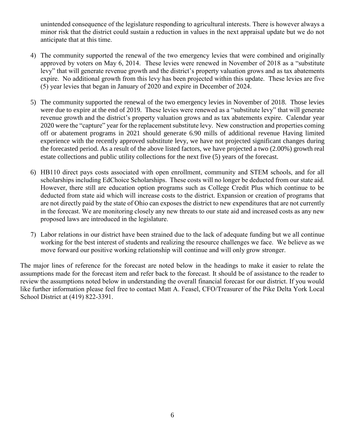unintended consequence of the legislature responding to agricultural interests. There is however always a minor risk that the district could sustain a reduction in values in the next appraisal update but we do not anticipate that at this time.

- 4) The community supported the renewal of the two emergency levies that were combined and originally approved by voters on May 6, 2014. These levies were renewed in November of 2018 as a "substitute levy" that will generate revenue growth and the district's property valuation grows and as tax abatements expire. No additional growth from this levy has been projected within this update. These levies are five (5) year levies that began in January of 2020 and expire in December of 2024.
- 5) The community supported the renewal of the two emergency levies in November of 2018. Those levies were due to expire at the end of 2019. These levies were renewed as a "substitute levy" that will generate revenue growth and the district's property valuation grows and as tax abatements expire. Calendar year 2020 were the "capture" year for the replacement substitute levy. New construction and properties coming off or abatement programs in 2021 should generate 6.90 mills of additional revenue Having limited experience with the recently approved substitute levy, we have not projected significant changes during the forecasted period. As a result of the above listed factors, we have projected a two (2.00%) growth real estate collections and public utility collections for the next five (5) years of the forecast.
- 6) HB110 direct pays costs associated with open enrollment, community and STEM schools, and for all scholarships including EdChoice Scholarships. These costs will no longer be deducted from our state aid. However, there still are education option programs such as College Credit Plus which continue to be deducted from state aid which will increase costs to the district. Expansion or creation of programs that are not directly paid by the state of Ohio can exposes the district to new expenditures that are not currently in the forecast. We are monitoring closely any new threats to our state aid and increased costs as any new proposed laws are introduced in the legislature.
- 7) Labor relations in our district have been strained due to the lack of adequate funding but we all continue working for the best interest of students and realizing the resource challenges we face. We believe as we move forward our positive working relationship will continue and will only grow stronger.

The major lines of reference for the forecast are noted below in the headings to make it easier to relate the assumptions made for the forecast item and refer back to the forecast. It should be of assistance to the reader to review the assumptions noted below in understanding the overall financial forecast for our district. If you would like further information please feel free to contact Matt A. Feasel, CFO/Treasurer of the Pike Delta York Local School District at (419) 822-3391.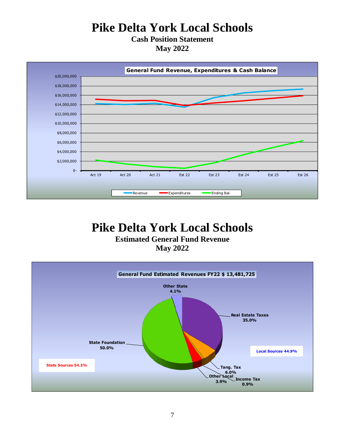# **Pike Delta York Local Schools**

**Cash Position Statement May 2022**



# **Pike Delta York Local Schools**

**Estimated General Fund Revenue**

**May 2022**

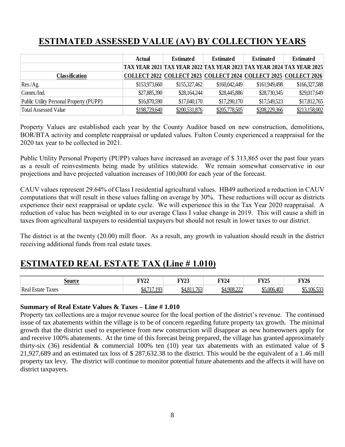### **ESTIMATED ASSESSED VALUE (AV) BY COLLECTION YEARS**

|                                         | Actual                                                                | <b>Estimated</b>                                                 | <b>Estimated</b> | <b>Estimated</b> | <b>Estimated</b> |
|-----------------------------------------|-----------------------------------------------------------------------|------------------------------------------------------------------|------------------|------------------|------------------|
|                                         | TAX YEAR 2021 TAX YEAR 2022 TAX YEAR 2023 TAX YEAR 2024 TAX YEAR 2025 |                                                                  |                  |                  |                  |
| <b>Classification</b>                   |                                                                       | COLLECT 2022 COLLECT 2023 COLLECT 2024 COLLECT 2025 COLLECT 2026 |                  |                  |                  |
| Res./Ag.                                | \$153,973,660                                                         | \$155,327,462                                                    | \$160,042,449    | \$161,949,498    | \$166,327,588    |
| Comm/Ind.                               | \$27,885,390                                                          | \$28,164,244                                                     | \$28,445,886     | \$28,730,345     | \$29,017,649     |
| Public Utility Personal Property (PUPP) | \$16,870,590                                                          | \$17,040,170                                                     | \$17,290,170     | \$17,549,523     | \$17,812,765     |
| <b>Total Assessed Value</b>             | \$198,729,640                                                         | \$200,531,876                                                    | \$205,778,505    | \$208,229,366    | \$213,158,002    |

Property Values are established each year by the County Auditor based on new construction, demolitions, BOR/BTA activity and complete reappraisal or updated values. Fulton County experienced a reappraisal for the 2020 tax year to be collected in 2021.

Public Utility Personal Property (PUPP) values have increased an average of \$ 313,865 over the past four years as a result of reinvestments being made by utilities statewide. We remain somewhat conservative in our projections and have projected valuation increases of 100,000 for each year of the forecast.

CAUV values represent 29.64% of Class I residential agricultural values. HB49 authorized a reduction in CAUV computations that will result in these values falling on average by 30%. These reductions will occur as districts experience their next reappraisal or update cycle. We will experience this in the Tax Year 2020 reappraisal. A reduction of value has been weighted in to our average Class I value change in 2019. This will cause a shift in taxes from agricultural taxpayers to residential taxpayers but should not result in lower taxes to our district.

The district is at the twenty (20.00) mill floor. As a result, any growth in valuation should result in the district receiving additional funds from real estate taxes.

### **ESTIMATED REAL ESTATE TAX (Line # 1.010)**

| source                         | $\mathbf{F} \mathbf{V} \mathbf{?}$<br>' 144 | <b>LIVO</b><br>$\sim 125$                 | <b>TY24</b> | <b>FY25</b> | <b>FY26</b>      |
|--------------------------------|---------------------------------------------|-------------------------------------------|-------------|-------------|------------------|
| Real<br>m<br>. Estate<br>Taxes | 102                                         | .763<br>0 A O 1 1<br>YД<br><b>JT.OII.</b> | \$4,908,222 | \$5,006,403 | $\sim$<br>.uu.jj |

#### **Summary of Real Estate Values & Taxes – Line # 1.010**

Property tax collections are a major revenue source for the local portion of the district's revenue. The continued issue of tax abatements within the village is to be of concern regarding future property tax growth. The minimal growth that the district used to experience from new construction will disappear as new homeowners apply for and receive 100% abatements. At the time of this forecast being prepared, the village has granted approximately thirty-six (36) residential  $\&$  commercial 100% ten (10) year tax abatements with an estimated value of \$ 21,927,689 and an estimated tax loss of \$ 287,632.38 to the district. This would be the equivalent of a 1.46 mill property tax levy. The district will continue to monitor potential future abatements and the affects it will have on district taxpayers.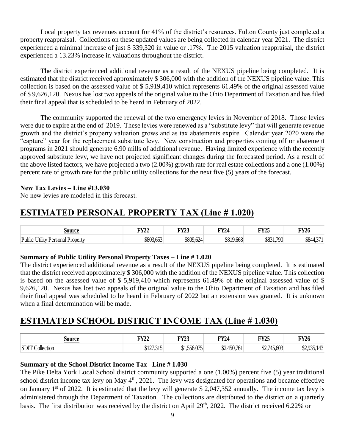Local property tax revenues account for 41% of the district's resources. Fulton County just completed a property reappraisal. Collections on these updated values are being collected in calendar year 2021. The district experienced a minimal increase of just \$ 339,320 in value or .17%. The 2015 valuation reappraisal, the district experienced a 13.23% increase in valuations throughout the district.

The district experienced additional revenue as a result of the NEXUS pipeline being completed. It is estimated that the district received approximately \$ 306,000 with the addition of the NEXUS pipeline value. This collection is based on the assessed value of \$ 5,919,410 which represents 61.49% of the original assessed value of \$ 9,626,120. Nexus has lost two appeals of the original value to the Ohio Department of Taxation and has filed their final appeal that is scheduled to be heard in February of 2022.

The community supported the renewal of the two emergency levies in November of 2018. Those levies were due to expire at the end of 2019. These levies were renewed as a "substitute levy" that will generate revenue growth and the district's property valuation grows and as tax abatements expire. Calendar year 2020 were the "capture" year for the replacement substitute levy. New construction and properties coming off or abatement programs in 2021 should generate 6.90 mills of additional revenue. Having limited experience with the recently approved substitute levy, we have not projected significant changes during the forecasted period. As a result of the above listed factors, we have projected a two (2.00%) growth rate for real estate collections and a one (1.00%) percent rate of growth rate for the public utility collections for the next five (5) years of the forecast.

#### **New Tax Levies – Line #13.030**

No new levies are modeled in this forecast.

### **ESTIMATED PERSONAL PROPERTY TAX (Line # 1.020)**

| source                           | <b>FY22</b> | <b>FY23</b> | <b>FY24</b> | <b>FY25</b> | $\overline{\text{y26}}$ |
|----------------------------------|-------------|-------------|-------------|-------------|-------------------------|
| Public Utility Personal Property | \$803,653   | \$809,624   | \$819,668   | \$831,790   | $. \n 271$<br>\$844,371 |

#### **Summary of Public Utility Personal Property Taxes – Line # 1.020**

The district experienced additional revenue as a result of the NEXUS pipeline being completed. It is estimated that the district received approximately \$ 306,000 with the addition of the NEXUS pipeline value. This collection is based on the assessed value of \$ 5,919,410 which represents 61.49% of the original assessed value of \$ 9,626,120. Nexus has lost two appeals of the original value to the Ohio Department of Taxation and has filed their final appeal was scheduled to be heard in February of 2022 but an extension was granted. It is unknown when a final determination will be made.

### **ESTIMATED SCHOOL DISTRICT INCOME TAX (Line # 1.030)**

| Source                 | <b>FY22</b> | <b>FY23</b> | <b>TY24</b> | <b>FY25</b> | <b>FY26</b> |
|------------------------|-------------|-------------|-------------|-------------|-------------|
| <b>SDIT Collection</b> | \$127,315   | \$1,556,075 | \$2,450,761 | \$2,745,603 | \$2,935,143 |

#### **Summary of the School District Income Tax –Line # 1.030**

The Pike Delta York Local School district community supported a one (1.00%) percent five (5) year traditional school district income tax levy on May  $4<sup>th</sup>$ , 2021. The levy was designated for operations and became effective on January  $1^{st}$  of 2022. It is estimated that the levy will generate \$ 2,047,352 annually. The income tax levy is administered through the Department of Taxation. The collections are distributed to the district on a quarterly basis. The first distribution was received by the district on April 29<sup>th</sup>, 2022. The district received 6.22% or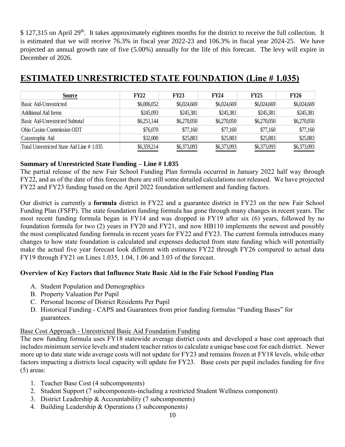\$ 127,315 on April 29<sup>th</sup>. It takes approximately eighteen months for the district to receive the full collection. It is estimated that we will receive 76.3% in fiscal year 2022-23 and 106.3% in fiscal year 2024-25. We have projected an annual growth rate of five (5.00%) annually for the life of this forecast. The levy will expire in December of 2026.

| Source                                   | <b>FY22</b> | <b>FY23</b> | <b>FY24</b> | <b>FY25</b> | <b>FY26</b> |
|------------------------------------------|-------------|-------------|-------------|-------------|-------------|
| Basic Aid-Unrestricted                   | \$6,006,052 | \$6,024,669 | \$6,024,669 | \$6,024,669 | \$6,024,669 |
| Additional Aid Items                     | \$245,093   | \$245,381   | \$245,381   | \$245,381   | \$245,381   |
| Basic Aid-Unrestricted Subtotal          | \$6,251,144 | \$6,270,050 | \$6,270,050 | \$6,270,050 | \$6,270,050 |
| Ohio Casino Commission ODT               | \$76,070    | \$77,160    | \$77,160    | \$77,160    | \$77,160    |
| Catastrophic Aid                         | \$32,000    | \$25,883    | \$25,883    | \$25,883    | \$25,883    |
| Total Unrestricted State Aid Line #1.035 | \$6,359,214 | \$6,373,093 | \$6,373,093 | \$6,373,093 | \$6,373,093 |

### **ESTIMATED UNRESTRICTED STATE FOUNDATION (Line # 1.035)**

#### **Summary of Unrestricted State Funding – Line # 1.035**

The partial release of the new Fair School Funding Plan formula occurred in January 2022 half way through FY22, and as of the date of this forecast there are still some detailed calculations not released. We have projected FY22 and FY23 funding based on the April 2022 foundation settlement and funding factors.

Our district is currently a **formula** district in FY22 and a guarantee district in FY23 on the new Fair School Funding Plan (FSFP). The state foundation funding formula has gone through many changes in recent years. The most recent funding formula began in FY14 and was dropped in FY19 after six (6) years, followed by no foundation formula for two (2) years in FY20 and FY21, and now HB110 implements the newest and possibly the most complicated funding formula in recent years for FY22 and FY23. The current formula introduces many changes to how state foundation is calculated and expenses deducted from state funding which will potentially make the actual five year forecast look different with estimates FY22 through FY26 compared to actual data FY19 through FY21 on Lines 1.035, 1.04, 1.06 and 3.03 of the forecast.

#### **Overview of Key Factors that Influence State Basic Aid in the Fair School Funding Plan**

- A. Student Population and Demographics
- B. Property Valuation Per Pupil
- C. Personal Income of District Residents Per Pupil
- D. Historical Funding CAPS and Guarantees from prior funding formulas "Funding Bases" for guarantees.

#### Base Cost Approach - Unrestricted Basic Aid Foundation Funding

The new funding formula uses FY18 statewide average district costs and developed a base cost approach that includes minimum service levels and student teacher ratios to calculate a unique base cost for each district. Newer more up to date state wide average costs will not update for FY23 and remains frozen at FY18 levels, while other factors impacting a districts local capacity will update for FY23. Base costs per pupil includes funding for five (5) areas:

- 1. Teacher Base Cost (4 subcomponents)
- 2. Student Support (7 subcomponents-including a restricted Student Wellness component)
- 3. District Leadership & Accountability (7 subcomponents)
- 4. Building Leadership & Operations (3 subcomponents)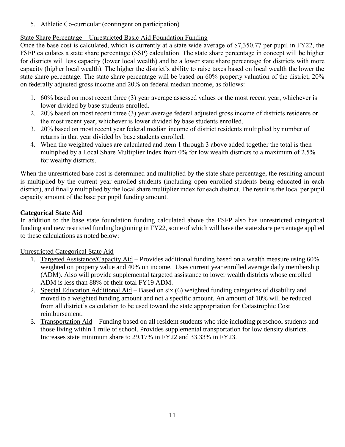5. Athletic Co-curricular (contingent on participation)

### State Share Percentage – Unrestricted Basic Aid Foundation Funding

Once the base cost is calculated, which is currently at a state wide average of \$7,350.77 per pupil in FY22, the FSFP calculates a state share percentage (SSP) calculation. The state share percentage in concept will be higher for districts will less capacity (lower local wealth) and be a lower state share percentage for districts with more capacity (higher local wealth). The higher the district's ability to raise taxes based on local wealth the lower the state share percentage. The state share percentage will be based on 60% property valuation of the district, 20% on federally adjusted gross income and 20% on federal median income, as follows:

- 1. 60% based on most recent three (3) year average assessed values or the most recent year, whichever is lower divided by base students enrolled.
- 2. 20% based on most recent three (3) year average federal adjusted gross income of districts residents or the most recent year, whichever is lower divided by base students enrolled.
- 3. 20% based on most recent year federal median income of district residents multiplied by number of returns in that year divided by base students enrolled.
- 4. When the weighted values are calculated and item 1 through 3 above added together the total is then multiplied by a Local Share Multiplier Index from 0% for low wealth districts to a maximum of 2.5% for wealthy districts.

When the unrestricted base cost is determined and multiplied by the state share percentage, the resulting amount is multiplied by the current year enrolled students (including open enrolled students being educated in each district), and finally multiplied by the local share multiplier index for each district. The result is the local per pupil capacity amount of the base per pupil funding amount.

#### **Categorical State Aid**

In addition to the base state foundation funding calculated above the FSFP also has unrestricted categorical funding and new restricted funding beginning in FY22, some of which will have the state share percentage applied to these calculations as noted below:

#### Unrestricted Categorical State Aid

- 1. Targeted Assistance/Capacity Aid Provides additional funding based on a wealth measure using 60% weighted on property value and 40% on income. Uses current year enrolled average daily membership (ADM). Also will provide supplemental targeted assistance to lower wealth districts whose enrolled ADM is less than 88% of their total FY19 ADM.
- 2. Special Education Additional Aid Based on six (6) weighted funding categories of disability and moved to a weighted funding amount and not a specific amount. An amount of 10% will be reduced from all district's calculation to be used toward the state appropriation for Catastrophic Cost reimbursement.
- 3. Transportation Aid Funding based on all resident students who ride including preschool students and those living within 1 mile of school. Provides supplemental transportation for low density districts. Increases state minimum share to 29.17% in FY22 and 33.33% in FY23.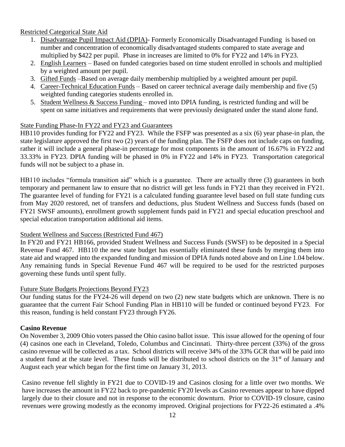Restricted Categorical State Aid

- 1. Disadvantage Pupil Impact Aid (DPIA)- Formerly Economically Disadvantaged Funding is based on number and concentration of economically disadvantaged students compared to state average and multiplied by \$422 per pupil. Phase in increases are limited to 0% for FY22 and 14% in FY23.
- 2. English Learners Based on funded categories based on time student enrolled in schools and multiplied by a weighted amount per pupil.
- 3. Gifted Funds –Based on average daily membership multiplied by a weighted amount per pupil.
- 4. Career-Technical Education Funds Based on career technical average daily membership and five (5) weighted funding categories students enrolled in.
- 5. Student Wellness & Success Funding moved into DPIA funding, is restricted funding and will be spent on same initiatives and requirements that were previously designated under the stand alone fund.

#### State Funding Phase-In FY22 and FY23 and Guarantees

HB110 provides funding for FY22 and FY23. While the FSFP was presented as a six (6) year phase-in plan, the state legislature approved the first two (2) years of the funding plan. The FSFP does not include caps on funding, rather it will include a general phase-in percentage for most components in the amount of 16.67% in FY22 and 33.33% in FY23. DPIA funding will be phased in 0% in FY22 and 14% in FY23. Transportation categorical funds will not be subject to a phase in.

HB110 includes "formula transition aid" which is a guarantee. There are actually three (3) guarantees in both temporary and permanent law to ensure that no district will get less funds in FY21 than they received in FY21. The guarantee level of funding for FY21 is a calculated funding guarantee level based on full state funding cuts from May 2020 restored, net of transfers and deductions, plus Student Wellness and Success funds (based on FY21 SWSF amounts), enrollment growth supplement funds paid in FY21 and special education preschool and special education transportation additional aid items.

#### Student Wellness and Success (Restricted Fund 467)

In FY20 and FY21 HB166, provided Student Wellness and Success Funds (SWSF) to be deposited in a Special Revenue Fund 467. HB110 the new state budget has essentially eliminated these funds by merging them into state aid and wrapped into the expanded funding and mission of DPIA funds noted above and on Line 1.04 below. Any remaining funds in Special Revenue Fund 467 will be required to be used for the restricted purposes governing these funds until spent fully.

#### Future State Budgets Projections Beyond FY23

Our funding status for the FY24-26 will depend on two (2) new state budgets which are unknown. There is no guarantee that the current Fair School Funding Plan in HB110 will be funded or continued beyond FY23. For this reason, funding is held constant FY23 through FY26.

#### **Casino Revenue**

On November 3, 2009 Ohio voters passed the Ohio casino ballot issue. This issue allowed for the opening of four (4) casinos one each in Cleveland, Toledo, Columbus and Cincinnati. Thirty-three percent (33%) of the gross casino revenue will be collected as a tax. School districts will receive 34% of the 33% GCR that will be paid into a student fund at the state level. These funds will be distributed to school districts on the 31<sup>st</sup> of January and August each year which began for the first time on January 31, 2013.

Casino revenue fell slightly in FY21 due to COVID-19 and Casinos closing for a little over two months. We have increases the amount in FY22 back to pre-pandemic FY20 levels as Casino revenues appear to have dipped largely due to their closure and not in response to the economic downturn. Prior to COVID-19 closure, casino revenues were growing modestly as the economy improved. Original projections for FY22-26 estimated a .4%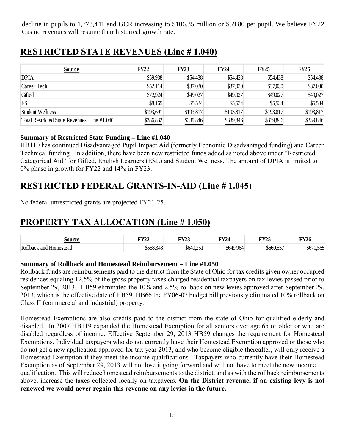decline in pupils to 1,778,441 and GCR increasing to \$106.35 million or \$59.80 per pupil. We believe FY22 Casino revenues will resume their historical growth rate.

### **RESTRICTED STATE REVENUES (Line # 1.040)**

| <b>Source</b>                               | <b>FY22</b> | <b>FY23</b> | <b>FY24</b> | <b>FY25</b> | <b>FY26</b> |
|---------------------------------------------|-------------|-------------|-------------|-------------|-------------|
| <b>DPIA</b>                                 | \$59,938    | \$54,438    | \$54,438    | \$54,438    | \$54,438    |
| Career Tech                                 | \$52,114    | \$37,030    | \$37,030    | \$37,030    | \$37,030    |
| Gifted                                      | \$72,924    | \$49,027    | \$49,027    | \$49,027    | \$49,027    |
| <b>ESL</b>                                  | \$8,165     | \$5,534     | \$5,534     | \$5,534     | \$5,534     |
| Student Wellness                            | \$193,691   | \$193,817   | \$193,817   | \$193,817   | \$193,817   |
| Total Restricted State Revenues Line #1,040 | \$386,832   | \$339,846   | \$339,846   | \$339,846   | \$339,846   |

#### **Summary of Restricted State Funding – Line #1.040**

HB110 has continued Disadvantaged Pupil Impact Aid (formerly Economic Disadvantaged funding) and Career Technical funding. In addition, there have been new restricted funds added as noted above under "Restricted Categorical Aid" for Gifted, English Learners (ESL) and Student Wellness. The amount of DPIA is limited to 0% phase in growth for FY22 and 14% in FY23.

### **RESTRICTED FEDERAL GRANTS-IN-AID (Line # 1.045)**

No federal unrestricted grants are projected FY21-25.

### **PROPERTY TAX ALLOCATION (Line # 1.050)**

| $\alpha$ ітиол            | <b>TITTA</b><br>---<br>---- | <b>TITTA</b><br><br>$\sim$ | IN 74 | <b>TITTA!</b><br>14 | TVA.<br><b>FYZ0</b> |
|---------------------------|-----------------------------|----------------------------|-------|---------------------|---------------------|
| Rollba<br>and<br>omestead |                             | ىم.                        |       | ---                 | ---<br>$\cdots$     |

#### **Summary of Rollback and Homestead Reimbursement – Line #1.050**

Rollback funds are reimbursements paid to the district from the State of Ohio for tax credits given owner occupied residences equaling 12.5% of the gross property taxes charged residential taxpayers on tax levies passed prior to September 29, 2013. HB59 eliminated the 10% and 2.5% rollback on new levies approved after September 29, 2013, which is the effective date of HB59. HB66 the FY06-07 budget bill previously eliminated 10% rollback on Class II (commercial and industrial) property.

Homestead Exemptions are also credits paid to the district from the state of Ohio for qualified elderly and disabled. In 2007 HB119 expanded the Homestead Exemption for all seniors over age 65 or older or who are disabled regardless of income. Effective September 29, 2013 HB59 changes the requirement for Homestead Exemptions. Individual taxpayers who do not currently have their Homestead Exemption approved or those who do not get a new application approved for tax year 2013, and who become eligible thereafter, will only receive a Homestead Exemption if they meet the income qualifications. Taxpayers who currently have their Homestead Exemption as of September 29, 2013 will not lose it going forward and will not have to meet the new income qualification. This will reduce homestead reimbursements to the district, and as with the rollback reimbursements above, increase the taxes collected locally on taxpayers. **On the District revenue, if an existing levy is not renewed we would never regain this revenue on any levies in the future.**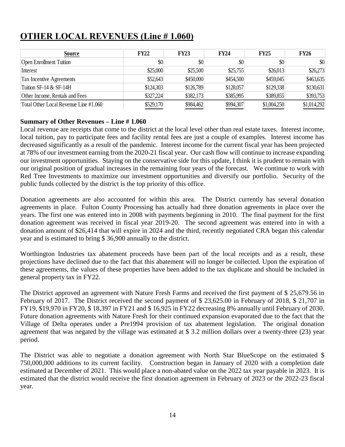| <b>Source</b>                         | <b>FY22</b> | <b>FY23</b> | <b>FY24</b> | FY25        | <b>FY26</b> |
|---------------------------------------|-------------|-------------|-------------|-------------|-------------|
| <b>Open Enrollment Tuition</b>        | \$0         | \$0         | \$0         | \$0         | \$0         |
| Interest                              | \$25,000    | \$25,500    | \$25,755    | \$26,013    | \$26,273    |
| <b>Tax Incentive Agreements</b>       | \$52,643    | \$450,000   | \$454,500   | \$459,045   | \$463,635   |
| Tuition SF-14 & SF-14H                | \$124,303   | \$126,789   | \$128,057   | \$129,338   | \$130,631   |
| Other Income, Rentals and Fees        | \$327,224   | \$382,173   | \$385,995   | \$389,855   | \$393,753   |
| Total Other Local Revenue Line #1.060 | \$529,170   | \$984,462   | \$994,307   | \$1,004,250 | \$1,014,292 |

### **OTHER LOCAL REVENUES (Line # 1.060)**

#### **Summary of Other Revenues – Line # 1.060**

Local revenue are receipts that come to the district at the local level other than real estate taxes. Interest income, local tuition, pay to participate fees and facility rental fees are just a couple of examples. Interest income has decreased significantly as a result of the pandemic. Interest income for the current fiscal year has been projected at 78% of our investment earning from the 2020-21 fiscal year. Our cash flow will continue to increase expanding our investment opportunities. Staying on the conservative side for this update, I think it is prudent to remain with our original position of gradual increases in the remaining four years of the forecast. We continue to work with Red Tree Investments to maximize our investment opportunities and diversify our portfolio. Security of the public funds collected by the district is the top priority of this office.

Donation agreements are also accounted for within this area. The District currently has several donation agreements in place. Fulton County Processing has actually had three donation agreements in place over the years. The first one was entered into in 2008 with payments beginning in 2010. The final payment for the first donation agreement was received in fiscal year 2019-20. The second agreement was entered into in with a donation amount of \$26,414 that will expire in 2024 and the third, recently negotiated CRA began this calendar year and is estimated to bring \$ 36,900 annually to the district.

Worthington Industries tax abatement proceeds have been part of the local receipts and as a result, these projections have declined due to the fact that this abatement will no longer be collected. Upon the expiration of these agreements, the values of these properties have been added to the tax duplicate and should be included in general property tax in FY22.

The District approved an agreement with Nature Fresh Farms and received the first payment of \$ 25,679.56 in February of 2017. The District received the second payment of \$ 23,625.00 in February of 2018, \$ 21,707 in FY19, \$19,970 in FY20, \$ 18,397 in FY21 and \$ 16,925 in FY22 decreasing 8% annually until February of 2030. Future donation agreements with Nature Fresh for their continued expansion evaporated due to the fact that the Village of Delta operates under a Pre1994 provision of tax abatement legislation. The original donation agreement that was negated by the village was estimated at \$ 3.2 million dollars over a twenty-three (23) year period.

The District was able to negotiate a donation agreement with North Star BlueScope on the estimated \$ 750,000,000 additions to its current facility. Construction began in January of 2020 with a completion date estimated at December of 2021. This would place a non-abated value on the 2022 tax year payable in 2023. It is estimated that the district would receive the first donation agreement in February of 2023 or the 2022-23 fiscal year.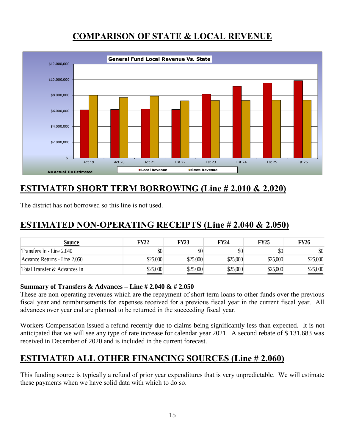### **COMPARISON OF STATE & LOCAL REVENUE**



## **ESTIMATED SHORT TERM BORROWING (Line # 2.010 & 2.020)**

The district has not borrowed so this line is not used.

### **ESTIMATED NON-OPERATING RECEIPTS (Line # 2.040 & 2.050)**

| Source                       | FY22     | <b>FY23</b> | <b>FY24</b> | <b>FY25</b> | FY26     |
|------------------------------|----------|-------------|-------------|-------------|----------|
| Transfers In - Line 2.040    | \$0      | \$0         | \$0         |             | \$0      |
| Advance Returns - Line 2.050 | \$25,000 | \$25,000    | \$25,000    | \$25,000    | \$25,000 |
| Total Transfer & Advances In | \$25,000 | \$25,000    | \$25,000    | \$25,000    | \$25,000 |

#### **Summary of Transfers & Advances – Line # 2.040 & # 2.050**

These are non-operating revenues which are the repayment of short term loans to other funds over the previous fiscal year and reimbursements for expenses received for a previous fiscal year in the current fiscal year. All advances over year end are planned to be returned in the succeeding fiscal year.

Workers Compensation issued a refund recently due to claims being significantly less than expected. It is not anticipated that we will see any type of rate increase for calendar year 2021. A second rebate of \$ 131,683 was received in December of 2020 and is included in the current forecast.

### **ESTIMATED ALL OTHER FINANCING SOURCES (Line # 2.060)**

This funding source is typically a refund of prior year expenditures that is very unpredictable. We will estimate these payments when we have solid data with which to do so.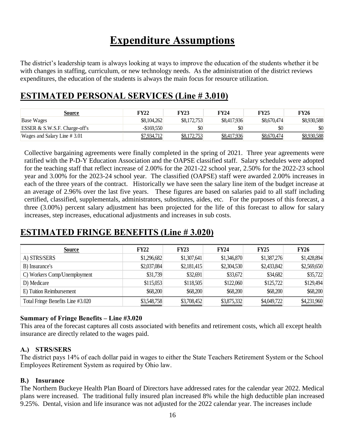# **Expenditure Assumptions**

The district's leadership team is always looking at ways to improve the education of the students whether it be with changes in staffing, curriculum, or new technology needs. As the administration of the district reviews expenditures, the education of the students is always the main focus for resource utilization.

### **ESTIMATED PERSONAL SERVICES (Line # 3.010)**

| Source                        | FY22               | <b>FY23</b> | <b>FY24</b> | FY25        | FY26               |
|-------------------------------|--------------------|-------------|-------------|-------------|--------------------|
| Base Wages                    | \$8,104,262        | \$8,172,753 | \$8,417,936 | \$8,670,474 | \$8,930,588        |
| ESSER & S.W.S.F. Charge-off's | $-\$169.550$       | \$0         | \$0         | \$0         | \$0                |
| Wages and Salary Line # 3.01  | <u>\$7,934,712</u> | \$8,172,753 | \$8,417,936 | \$8,670,474 | <u>\$8,930,588</u> |

Collective bargaining agreements were finally completed in the spring of 2021. Three year agreements were ratified with the P-D-Y Education Association and the OAPSE classified staff. Salary schedules were adopted for the teaching staff that reflect increase of 2.00% for the 2021-22 school year, 2.50% for the 2022-23 school year and 3.00% for the 2023-24 school year. The classified (OAPSE) staff were awarded 2.00% increases in each of the three years of the contract. Historically we have seen the salary line item of the budget increase at an average of 2.96% over the last five years. These figures are based on salaries paid to all staff including certified, classified, supplementals, administrators, substitutes, aides, etc. For the purposes of this forecast, a three (3.00%) percent salary adjustment has been projected for the life of this forecast to allow for salary increases, step increases, educational adjustments and increases in sub costs.

### **ESTIMATED FRINGE BENEFITS (Line # 3.020)**

| <b>Source</b>                     | <b>FY22</b> | <b>FY23</b> | <b>FY24</b> | <b>FY25</b> | <b>FY26</b> |
|-----------------------------------|-------------|-------------|-------------|-------------|-------------|
| A) STRS/SERS                      | \$1,296,682 | \$1,307,641 | \$1,346,870 | \$1,387,276 | \$1,428,894 |
| B) Insurance's                    | \$2,037,084 | \$2,181,415 | \$2,304,530 | \$2,433,842 | \$2,569,650 |
| C) Workers Comp/Unemployment      | \$31,739    | \$32,691    | \$33,672    | \$34,682    | \$35,722    |
| D) Medicare                       | \$115,053   | \$118,505   | \$122,060   | \$125,722   | \$129,494   |
| E) Tuition Reimbursement          | \$68,200    | \$68,200    | \$68,200    | \$68,200    | \$68,200    |
| Total Fringe Benefits Line #3.020 | \$3,548,758 | \$3,708,452 | \$3,875,332 | \$4,049,722 | \$4,231,960 |

#### **Summary of Fringe Benefits – Line #3.020**

This area of the forecast captures all costs associated with benefits and retirement costs, which all except health insurance are directly related to the wages paid.

#### **A.) STRS/SERS**

The district pays 14% of each dollar paid in wages to either the State Teachers Retirement System or the School Employees Retirement System as required by Ohio law.

#### **B.) Insurance**

The Northern Buckeye Health Plan Board of Directors have addressed rates for the calendar year 2022. Medical plans were increased. The traditional fully insured plan increased 8% while the high deductible plan increased 9.25%. Dental, vision and life insurance was not adjusted for the 2022 calendar year. The increases include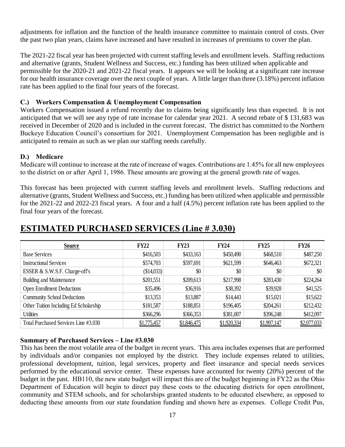adjustments for inflation and the function of the health insurance committee to maintain control of costs. Over the past two plan years, claims have increased and have resulted in increases of premiums to cover the plan.

The 2021-22 fiscal year has been projected with current staffing levels and enrollment levels. Staffing reductions and alternative (grants, Student Wellness and Success, etc.) funding has been utilized when applicable and permissible for the 2020-21 and 2021-22 fiscal years. It appears we will be looking at a significant rate increase for our health insurance coverage over the next couple of years. A little larger than three (3.18%) percent inflation rate has been applied to the final four years of the forecast.

#### **C.) Workers Compensation & Unemployment Compensation**

Workers Compensation issued a refund recently due to claims being significantly less than expected. It is not anticipated that we will see any type of rate increase for calendar year 2021. A second rebate of \$ 131,683 was received in December of 2020 and is included in the current forecast. The district has committed to the Northern Buckeye Education Council's consortium for 2021. Unemployment Compensation has been negligible and is anticipated to remain as such as we plan our staffing needs carefully.

#### **D.) Medicare**

Medicare will continue to increase at the rate of increase of wages. Contributions are 1.45% for all new employees to the district on or after April 1, 1986. These amounts are growing at the general growth rate of wages.

This forecast has been projected with current staffing levels and enrollment levels. Staffing reductions and alternative (grants, Student Wellness and Success, etc.) funding has been utilized when applicable and permissible for the 2021-22 and 2022-23 fiscal years. A four and a half (4.5%) percent inflation rate has been applied to the final four years of the forecast.

| <b>Source</b>                          | <b>FY22</b> | <b>FY23</b> | <b>FY24</b> | <b>FY25</b> | <b>FY26</b> |
|----------------------------------------|-------------|-------------|-------------|-------------|-------------|
| <b>Base Services</b>                   | \$416,503   | \$433,163   | \$450,490   | \$468,510   | \$487,250   |
| <b>Instructional Services</b>          | \$574,703   | \$597,691   | \$621,599   | \$646,463   | \$672,321   |
| ESSER & S.W.S.F. Charge-off's          | (\$14,033)  | \$0         | \$0         | \$0         | \$0         |
| <b>Building and Maintenance</b>        | \$201,551   | \$209,613   | \$217,998   | \$283,430   | \$224,264   |
| <b>Open Enrollment Deductions</b>      | \$35,496    | \$36,916    | \$38,392    | \$39,928    | \$41,525    |
| <b>Community School Deductions</b>     | \$13,353    | \$13,887    | \$14,443    | \$15,021    | \$15,622    |
| Other Tuition Including Ed Scholarship | \$181,587   | \$188,851   | \$196,405   | \$204,261   | \$212,432   |
| <b>Utilities</b>                       | \$366,296   | \$366,353   | \$381,007   | \$396,248   | \$412,097   |
| Total Purchased Services Line #3.030   | \$1,775,457 | \$1,846,475 | \$1,920,334 | \$1,997,147 | \$2,077,033 |

### **ESTIMATED PURCHASED SERVICES (Line # 3.030)**

#### **Summary of Purchased Services – Line #3.030**

This has been the most volatile area of the budget in recent years. This area includes expenses that are performed by individuals and/or companies not employed by the district. They include expenses related to utilities, professional development, tuition, legal services, property and fleet insurance and special needs services performed by the educational service center. These expenses have accounted for twenty (20%) percent of the budget in the past. HB110, the new state budget will impact this are of the budget beginning in FY22 as the Ohio Department of Education will begin to direct pay these costs to the educating districts for open enrollment, community and STEM schools, and for scholarships granted students to be educated elsewhere, as opposed to deducting these amounts from our state foundation funding and shown here as expenses. College Credit Pus,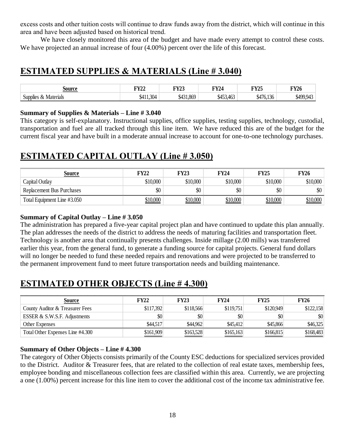excess costs and other tuition costs will continue to draw funds away from the district, which will continue in this area and have been adjusted based on historical trend.

We have closely monitored this area of the budget and have made every attempt to control these costs. We have projected an annual increase of four  $(4.00\%)$  percent over the life of this forecast.

### **ESTIMATED SUPPLIES & MATERIALS (Line # 3.040)**

| :Aumac<br>70 H                              | TTZ7A/<br>▪▲▲ | $\mathbf{E} \mathbf{V}$<br><br>$\sim$ | <b>TIV 7A</b><br>$\overline{\phantom{a}}$<br>∸ | <b>EXZAF</b><br>▪ | <b>TWA</b><br>F 1 4 0 |
|---------------------------------------------|---------------|---------------------------------------|------------------------------------------------|-------------------|-----------------------|
| $\sim$<br>Materials<br>Supplie <sup>r</sup> | 304<br>W.     | OCT<br>.oo~                           | $46^\circ$                                     |                   |                       |

#### **Summary of Supplies & Materials – Line # 3.040**

This category is self-explanatory. Instructional supplies, office supplies, testing supplies, technology, custodial, transportation and fuel are all tracked through this line item. We have reduced this are of the budget for the current fiscal year and have built in a moderate annual increase to account for one-to-one technology purchases.

### **ESTIMATED CAPITAL OUTLAY (Line # 3.050)**

| <u>Source</u>                    | <b>FY22</b>     | <b>FY23</b>     | <b>FY24</b> | <b>FY25</b>     | <b>FY26</b> |
|----------------------------------|-----------------|-----------------|-------------|-----------------|-------------|
| Capital Outlay                   | \$10,000        | \$10,000        | \$10,000    | \$10,000        | \$10,000    |
| <b>Replacement Bus Purchases</b> | \$0             | \$0             | \$0         | \$0             | \$0         |
| Total Equipment Line #3.050      | <u>\$10,000</u> | <u>\$10,000</u> | \$10,000    | <u>\$10,000</u> | 510,000     |

#### **Summary of Capital Outlay – Line # 3.050**

The administration has prepared a five-year capital project plan and have continued to update this plan annually. The plan addresses the needs of the district to address the needs of maturing facilities and transportation fleet. Technology is another area that continually presents challenges. Inside millage (2.00 mills) was transferred earlier this year, from the general fund, to generate a funding source for capital projects. General fund dollars will no longer be needed to fund these needed repairs and renovations and were projected to be transferred to the permanent improvement fund to meet future transportation needs and building maintenance.

### **ESTIMATED OTHER OBJECTS (Line # 4.300)**

| Source                           | <b>FY22</b> | <b>FY23</b> | <b>FY24</b> | <b>FY25</b> | <b>FY26</b> |
|----------------------------------|-------------|-------------|-------------|-------------|-------------|
| County Auditor & Treasurer Fees  | \$117,392   | \$118,566   | \$119,751   | \$120,949   | \$122,158   |
| ESSER & S.W.S.F. Adjustments     | \$0         | \$0         | \$0         | \$0         | \$0         |
| Other Expenses                   | \$44,517    | \$44,962    | \$45,412    | \$45,866    | \$46,325    |
| Total Other Expenses Line #4.300 | \$161,909   | \$163,528   | \$165,163   | \$166,815   | \$168,483   |

#### **Summary of Other Objects – Line # 4.300**

The category of Other Objects consists primarily of the County ESC deductions for specialized services provided to the District. Auditor & Treasurer fees, that are related to the collection of real estate taxes, membership fees, employee bonding and miscellaneous collection fees are classified within this area. Currently, we are projecting a one (1.00%) percent increase for this line item to cover the additional cost of the income tax administrative fee.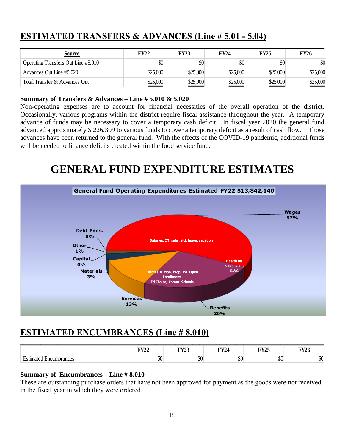| <b>Source</b>                       | <b>FY22</b> | <b>FY23</b> | <b>FY24</b>               | <b>FY25</b> | <b>FY26</b> |
|-------------------------------------|-------------|-------------|---------------------------|-------------|-------------|
| Operating Transfers Out Line #5.010 | \$0         | \$0         | $\boldsymbol{\mathsf{S}}$ | \$0         | \$0         |
| Advances Out Line #5.020            | \$25,000    | \$25,000    | \$25,000                  | \$25,000    | \$25,000    |
| Total Transfer & Advances Out       | \$25,000    | \$25,000    | \$25,000                  | \$25,000    | \$25,000    |

### **ESTIMATED TRANSFERS & ADVANCES (Line # 5.01 - 5.04)**

#### **Summary of Transfers & Advances – Line # 5.010 & 5.020**

Non-operating expenses are to account for financial necessities of the overall operation of the district. Occasionally, various programs within the district require fiscal assistance throughout the year. A temporary advance of funds may be necessary to cover a temporary cash deficit. In fiscal year 2020 the general fund advanced approximately \$ 226,309 to various funds to cover a temporary deficit as a result of cash flow. Those advances have been returned to the general fund. With the effects of the COVID-19 pandemic, additional funds will be needed to finance deficits created within the food service fund.

# **GENERAL FUND EXPENDITURE ESTIMATES**



### **ESTIMATED ENCUMBRANCES (Line # 8.010)**

|                             | $\Gamma V$<br>r 1 <i>44</i> | <b>TITZA</b><br>14j | <b>TIVZA</b><br>T 124 | <b>EVAL</b><br>114J | <b>TIVZA</b><br>FY 20 |
|-----------------------------|-----------------------------|---------------------|-----------------------|---------------------|-----------------------|
| Estimated<br>l Encumbrances | ሐሰ<br>JU.                   | \$0                 | ሰሰ<br>JU.             | ₼∩<br>ЭU            | \$0                   |

#### **Summary of Encumbrances – Line # 8.010**

These are outstanding purchase orders that have not been approved for payment as the goods were not received in the fiscal year in which they were ordered.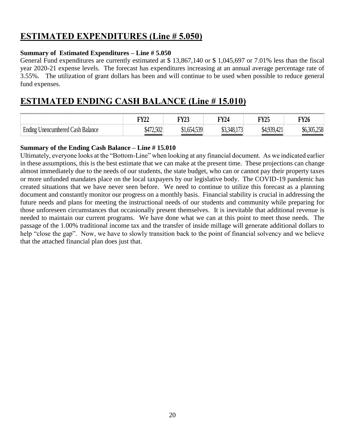### **ESTIMATED EXPENDITURES (Line # 5.050)**

#### **Summary of Estimated Expenditures – Line # 5.050**

General Fund expenditures are currently estimated at \$ 13,867,140 or \$ 1,045,697 or 7.01% less than the fiscal year 2020-21 expense levels. The forecast has expenditures increasing at an annual average percentage rate of 3.55%. The utilization of grant dollars has been and will continue to be used when possible to reduce general fund expenses.

### **ESTIMATED ENDING CASH BALANCE (Line # 15.010)**

|                                           | <b>FY22</b> | <b>TIVA</b><br>4 Y 43                                 | $\nabla \mathbf{V}$<br>$14^{\circ}$ | <b>FY25</b><br>_______ | <b>FY26</b>                    |
|-------------------------------------------|-------------|-------------------------------------------------------|-------------------------------------|------------------------|--------------------------------|
| F.<br>Unencumbered Cash Balance<br>Ending | \$472,502   | $+539$<br>$\sim$ $\sim$ $\sim$ $\sim$<br>⋔ 1<br>V1.0J | . 140.<br>0.0                       | \$4,939,42,            | 305 258<br>90.JUJ. <i>LJ</i> U |

#### **Summary of the Ending Cash Balance – Line # 15.010**

Ultimately, everyone looks at the "Bottom-Line" when looking at any financial document. As we indicated earlier in these assumptions, this is the best estimate that we can make at the present time. These projections can change almost immediately due to the needs of our students, the state budget, who can or cannot pay their property taxes or more unfunded mandates place on the local taxpayers by our legislative body. The COVID-19 pandemic has created situations that we have never seen before. We need to continue to utilize this forecast as a planning document and constantly monitor our progress on a monthly basis. Financial stability is crucial in addressing the future needs and plans for meeting the instructional needs of our students and community while preparing for those unforeseen circumstances that occasionally present themselves. It is inevitable that additional revenue is needed to maintain our current programs. We have done what we can at this point to meet those needs. The passage of the 1.00% traditional income tax and the transfer of inside millage will generate additional dollars to help "close the gap". Now, we have to slowly transition back to the point of financial solvency and we believe that the attached financial plan does just that.